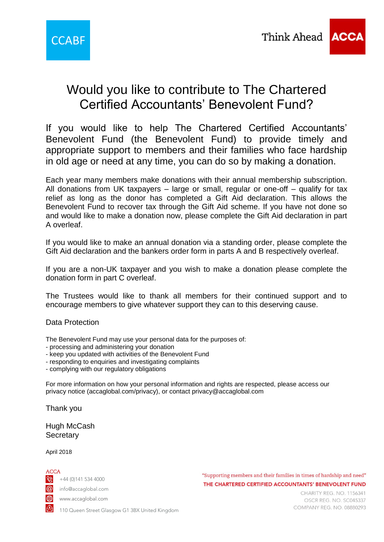

# Would you like to contribute to The Chartered Certified Accountants' Benevolent Fund?

If you would like to help The Chartered Certified Accountants' Benevolent Fund (the Benevolent Fund) to provide timely and appropriate support to members and their families who face hardship in old age or need at any time, you can do so by making a donation.

Each year many members make donations with their annual membership subscription. All donations from UK taxpayers – large or small, regular or one-off – qualify for tax relief as long as the donor has completed a Gift Aid declaration. This allows the Benevolent Fund to recover tax through the Gift Aid scheme. If you have not done so and would like to make a donation now, please complete the Gift Aid declaration in part A overleaf.

If you would like to make an annual donation via a standing order, please complete the Gift Aid declaration and the bankers order form in parts A and B respectively overleaf.

If you are a non-UK taxpayer and you wish to make a donation please complete the donation form in part C overleaf.

The Trustees would like to thank all members for their continued support and to encourage members to give whatever support they can to this deserving cause.

## Data Protection

- The Benevolent Fund may use your personal data for the purposes of:
- processing and administering your donation
- keep you updated with activities of the Benevolent Fund
- responding to enquiries and investigating complaints
- complying with our regulatory obligations

For more information on how your personal information and rights are respected, please access our privacy notice (accaglobal.com/privacy), or contact privacy@accaglobal.com

Thank you

Hugh McCash **Secretary** 

### April 2018

ACCA

 $\sqrt{2}$  +44 (0)141 534 4000

info@accaglobal.com

www.accaglobal.com

"Supporting members and their families in times of hardship and need" THE CHARTERED CERTIFIED ACCOUNTANTS' BENEVOLENT FUND

CHARITY REG. NO. 1156341 OSCR REG. NO. SC045337 COMPANY REG. NO. 08880293

110 Queen Street Glasgow G1 3BX United Kingdom